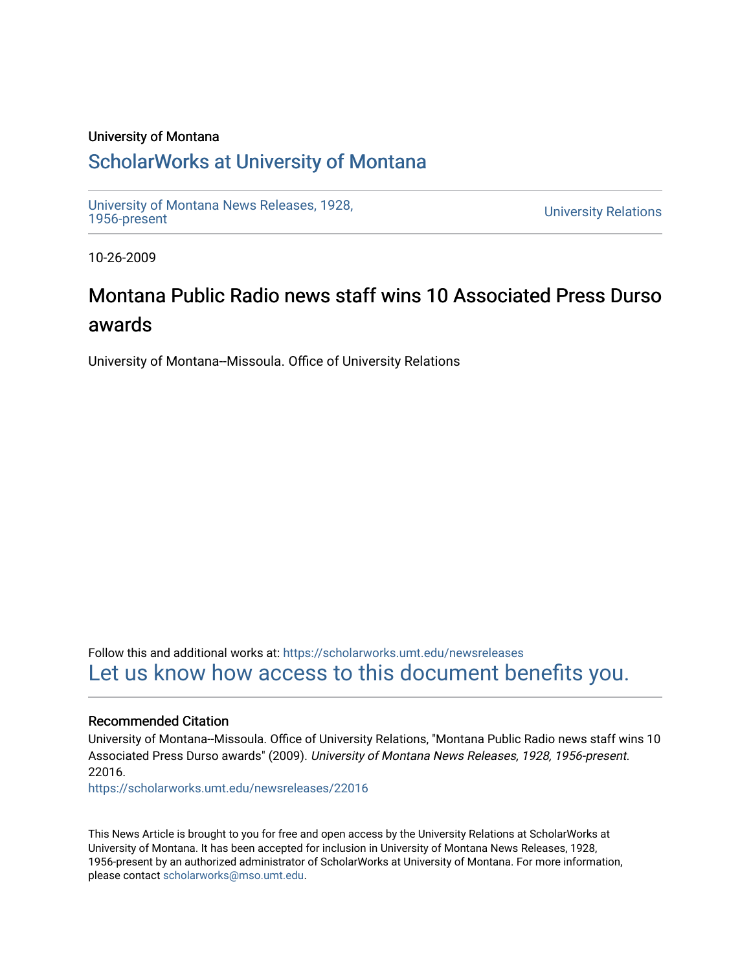## University of Montana

## [ScholarWorks at University of Montana](https://scholarworks.umt.edu/)

[University of Montana News Releases, 1928,](https://scholarworks.umt.edu/newsreleases) 

**University Relations** 

10-26-2009

# Montana Public Radio news staff wins 10 Associated Press Durso awards

University of Montana--Missoula. Office of University Relations

Follow this and additional works at: [https://scholarworks.umt.edu/newsreleases](https://scholarworks.umt.edu/newsreleases?utm_source=scholarworks.umt.edu%2Fnewsreleases%2F22016&utm_medium=PDF&utm_campaign=PDFCoverPages) [Let us know how access to this document benefits you.](https://goo.gl/forms/s2rGfXOLzz71qgsB2) 

### Recommended Citation

University of Montana--Missoula. Office of University Relations, "Montana Public Radio news staff wins 10 Associated Press Durso awards" (2009). University of Montana News Releases, 1928, 1956-present. 22016.

[https://scholarworks.umt.edu/newsreleases/22016](https://scholarworks.umt.edu/newsreleases/22016?utm_source=scholarworks.umt.edu%2Fnewsreleases%2F22016&utm_medium=PDF&utm_campaign=PDFCoverPages) 

This News Article is brought to you for free and open access by the University Relations at ScholarWorks at University of Montana. It has been accepted for inclusion in University of Montana News Releases, 1928, 1956-present by an authorized administrator of ScholarWorks at University of Montana. For more information, please contact [scholarworks@mso.umt.edu.](mailto:scholarworks@mso.umt.edu)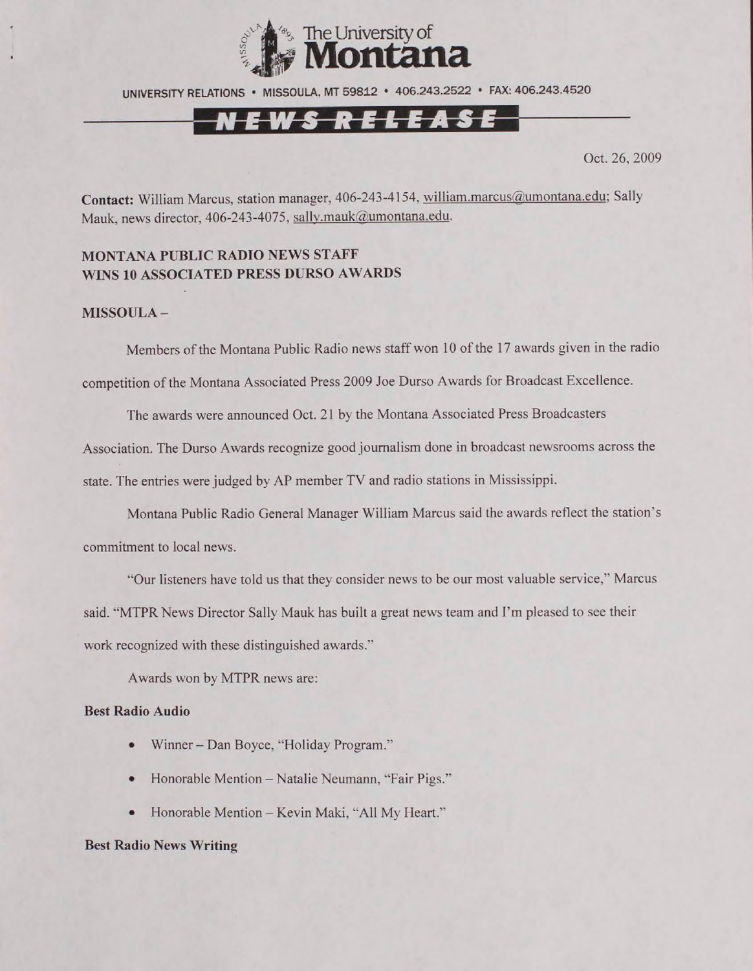

UNIVERSITY RELATIONS • MISSOULA. MT 59812 • 406.243.2522 • FAX: 406.243.4520

## N E W S R E L E A S E

Oct. 26, 2009

**Contact:** William Marcus, station manager, 406-243-4154. [william.marcus@umontana.edu](mailto:william.marcus@umontana.edu); Sally Mauk, news director, 406-243-4075, [sally.mauk@umontana.edu](mailto:sally.mauk@umontana.edu).

#### **MONTANA PUBLIC RADIO NEWS STAFF WINS 10 ASSOCIATED PRESS DURSO AWARDS**

#### **MISSOULA -**

Members of the Montana Public Radio news staff won 10 of the 17 awards given in the radio competition of the Montana Associated Press 2009 Joe Durso Awards for Broadcast Excellence.

The awards were announced Oct. 21 by the Montana Associated Press Broadcasters

Association. The Durso Awards recognize good journalism done in broadcast newsrooms across the

state. The entries were judged by AP member TV and radio stations in Mississippi.

Montana Public Radio General Manager William Marcus said the awards reflect the station's commitment to local news.

"Our listeners have told us that they consider news to be our most valuable service," Marcus said. "MTPR News Director Sally Mauk has built a great news team and I'm pleased to see their work recognized with these distinguished awards."

Awards won by MTPR news are:

#### **Best Radio Audio**

- Winner Dan Boyce, "Holiday Program."
- Honorable Mention Natalie Neumann, "Fair Pigs."
- Honorable Mention Kevin Maki, "All My Heart."

#### **Best Radio News Writing**